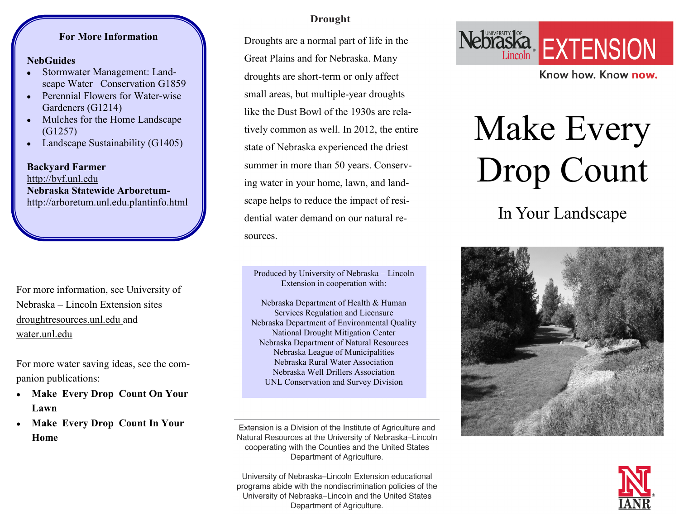### **For More Information**

#### **NebGuides**

- Stormwater Management: Landscape Water Conservation G1859
- Perennial Flowers for Water-wise  $\bullet$ Gardeners (G1214)
- Mulches for the Home Landscape  $\bullet$ (G1257)
- Landscape Sustainability (G1405)

**Backyard Farmer**  http://byf.unl.edu **Nebraska Statewide Arboretum**[http://arboretum.unl.edu.plantinfo.html](http://arboretum.unl.edu/plantinfo.html)

For more information, see University of Nebraska – Lincoln Extension sites droughtresources.unl.edu and water.unl.edu

For more water saving ideas, see the companion publications:

- **Make Every Drop Count On Your Lawn**
- **Make Every Drop Count In Your Home**

### **Drought**

Droughts are a normal part of life in the Great Plains and for Nebraska. Many droughts are short-term or only affect small areas, but multiple-year droughts like the Dust Bowl of the 1930s are relatively common as well. In 2012, the entire state of Nebraska experienced the driest summer in more than 50 years. Conserving water in your home, lawn, and landscape helps to reduce the impact of residential water demand on our natural resources.

Produced by University of Nebraska – Lincoln Extension in cooperation with:

Nebraska Department of Health & Human Services Regulation and Licensure Nebraska Department of Environmental Quality National Drought Mitigation Center Nebraska Department of Natural Resources Nebraska League of Municipalities Nebraska Rural Water Association Nebraska Well Drillers Association UNL Conservation and Survey Division

Extension is a Division of the Institute of Agriculture and Natural Resources at the University of Nebraska-Lincoln cooperating with the Counties and the United States Department of Agriculture.

University of Nebraska-Lincoln Extension educational programs abide with the nondiscrimination policies of the University of Nebraska-Lincoln and the United States Department of Agriculture.



Know how, Know now.

# Make Every Drop Count

In Your Landscape